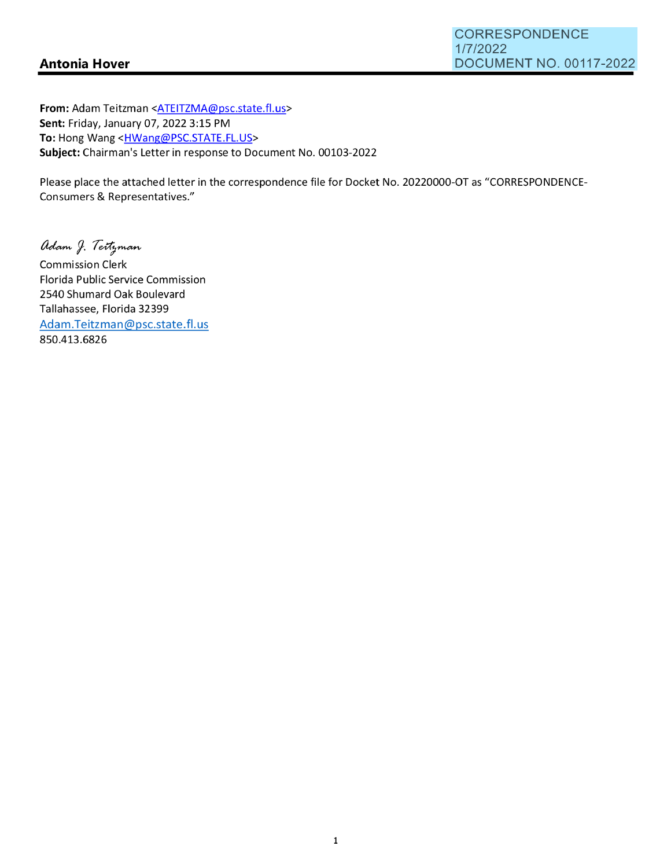## **Antonia Hover**

From: Adam Teitzman <ATEITZMA@psc.state.fl.us> **Sent:** Friday, January 07, 2022 3:15 PM To: Hong Wang <HWang@PSC.STATE.FL.US> **Subject:** Chairman's Letter in response to Document No. 00103-2022

Please place the attached letter in the correspondence file for Docket No. 20220000-OT as "CORRESPONDENCE-Consumers & Representatives."

Adam J. Teityman

Commission Clerk Florida Public Service Commission 2540 Shumard Oak Boulevard Tallahassee, Florida 32399 Adam.Teitzman@psc.state.fl.us 850.413.6826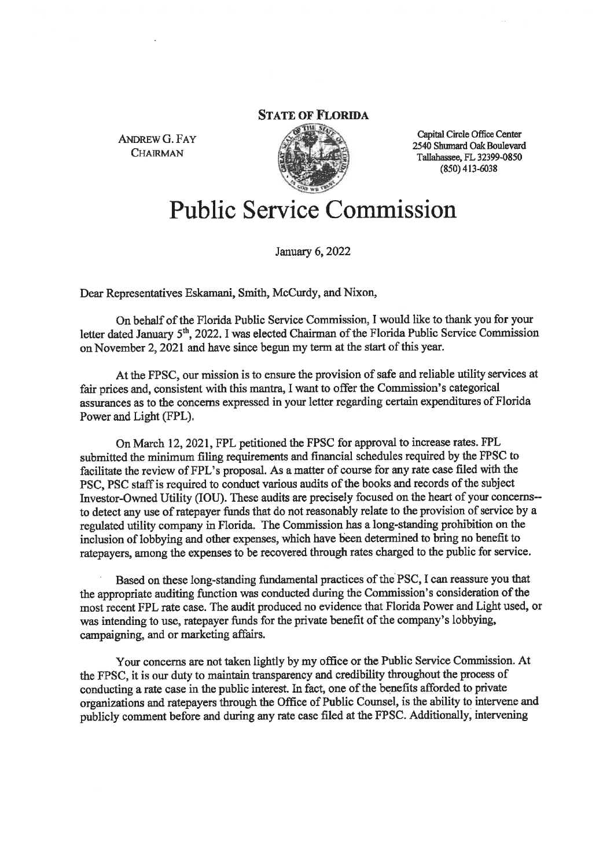## **STATE OF FLORIDA**

ANDREW G. FAY **CHAIRMAN** 



Capital Circle Office Center 2540 Shumard Oak Boulevard Tallahassee. FL 32399-0850 (850) 413-6038

## **Public Service Commission**

January 6, 2022

Dear Representatives Eskamani, Smith, Mccurdy, and Nixon,

On behalf of the Florida Public Service Commission, I would like to thank you for your letter dated January 5<sup>th</sup>, 2022. I was elected Chairman of the Florida Public Service Commission on November 2, 2021 and have since begun my term at the start of this year.

At the FPSC, our mission is to ensure the provision of safe and reliable utility services at fair prices and, consistent with this mantra, I want to offer the Commission's categorical assurances as to the concerns expressed in your letter regarding certain expenditures of Florida Power and Light (FPL).

On March 12, 2021, FPL petitioned the FPSC for approval to increase rates. FPL submitted the minimum filing requirements and financial schedules required by the FPSC to facilitate the review of FPL's proposal. As a matter of course for any rate case filed with the PSC, PSC staff is required to conduct various audits of the books and records of the subject Investor-Owned Utility (IOU). These audits are precisely focused on the heart of your concerns- to detect any use of ratepayer funds that do not reasonably relate to the provision of service by a regulated utility company in Florida. The Commission has a long-standing prohibition on the inclusion of lobbying and other expenses, which have been determined to bring no benefit to ratepayers, among the expenses to be recovered through rates charged to the public for service.

Based on these long-standing fundamental practices of the PSC, I can reassure you that the appropriate auditing function was conducted during the Commission's consideration of the most recent FPL rate case. The audit produced no evidence that Florida Power and Light used, or was intending to use, ratepayer funds for the private benefit of the company's lobbying, campaigning, and or marketing affairs.

Your concerns are not taken lightly by my office or the Public Service Commission. At the FPSC, it is our duty to maintain transparency and credibility throughout the process of conducting a rate case in the public interest. In fact, one of the benefits afforded to private organizations and ratepayers through the Office of Public Counsel, is the ability to intervene and publicly comment before and during any rate case filed at the FPSC. Additionally; intervening